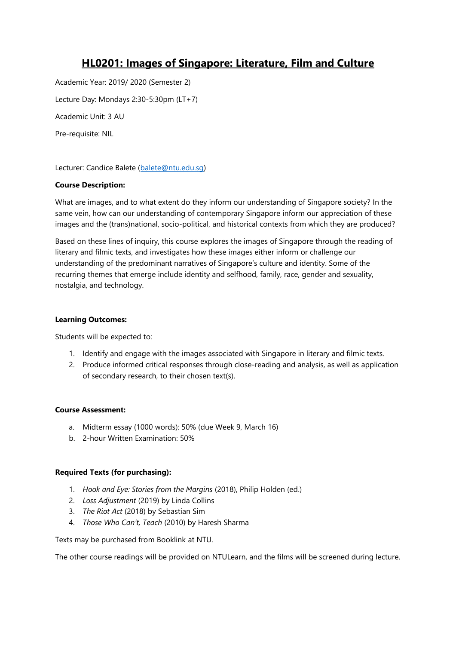# **HL0201: Images of Singapore: Literature, Film and Culture**

Academic Year: 2019/ 2020 (Semester 2) Lecture Day: Mondays 2:30-5:30pm (LT+7) Academic Unit: 3 AU Pre-requisite: NIL

Lecturer: Candice Balete [\(balete@ntu.edu.sg\)](mailto:balete@ntu.edu.sg)

### **Course Description:**

What are images, and to what extent do they inform our understanding of Singapore society? In the same vein, how can our understanding of contemporary Singapore inform our appreciation of these images and the (trans)national, socio-political, and historical contexts from which they are produced?

Based on these lines of inquiry, this course explores the images of Singapore through the reading of literary and filmic texts, and investigates how these images either inform or challenge our understanding of the predominant narratives of Singapore's culture and identity. Some of the recurring themes that emerge include identity and selfhood, family, race, gender and sexuality, nostalgia, and technology.

#### **Learning Outcomes:**

Students will be expected to:

- 1. Identify and engage with the images associated with Singapore in literary and filmic texts.
- 2. Produce informed critical responses through close-reading and analysis, as well as application of secondary research, to their chosen text(s).

#### **Course Assessment:**

- a. Midterm essay (1000 words): 50% (due Week 9, March 16)
- b. 2-hour Written Examination: 50%

#### **Required Texts (for purchasing):**

- 1. *Hook and Eye: Stories from the Margins* (2018), Philip Holden (ed.)
- 2. *Loss Adjustment* (2019) by Linda Collins
- 3. *The Riot Act* (2018) by Sebastian Sim
- 4. *Those Who Can't, Teach* (2010) by Haresh Sharma

Texts may be purchased from Booklink at NTU.

The other course readings will be provided on NTULearn, and the films will be screened during lecture.